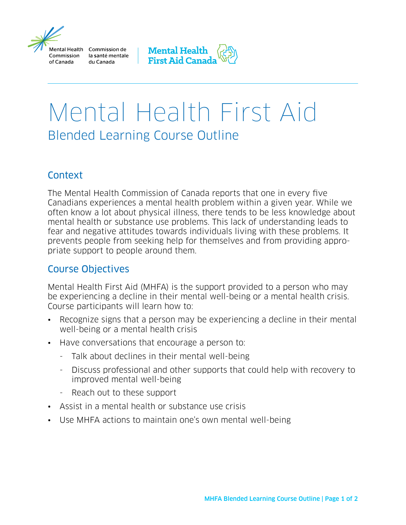

Aental Health Commission de Commission la santé mentale du Canada



# Mental Health First Aid Blended Learning Course Outline

### **Context**

The Mental Health Commission of Canada reports that one in every five Canadians experiences a mental health problem within a given year. While we often know a lot about physical illness, there tends to be less knowledge about mental health or substance use problems. This lack of understanding leads to fear and negative attitudes towards individuals living with these problems. It prevents people from seeking help for themselves and from providing appropriate support to people around them.

## Course Objectives

Mental Health First Aid (MHFA) is the support provided to a person who may be experiencing a decline in their mental well-being or a mental health crisis. Course participants will learn how to:

- Recognize signs that a person may be experiencing a decline in their mental well-being or a mental health crisis
- Have conversations that encourage a person to:
	- Talk about declines in their mental well-being
	- Discuss professional and other supports that could help with recovery to improved mental well-being
	- Reach out to these support
- Assist in a mental health or substance use crisis
- Use MHFA actions to maintain one's own mental well-being